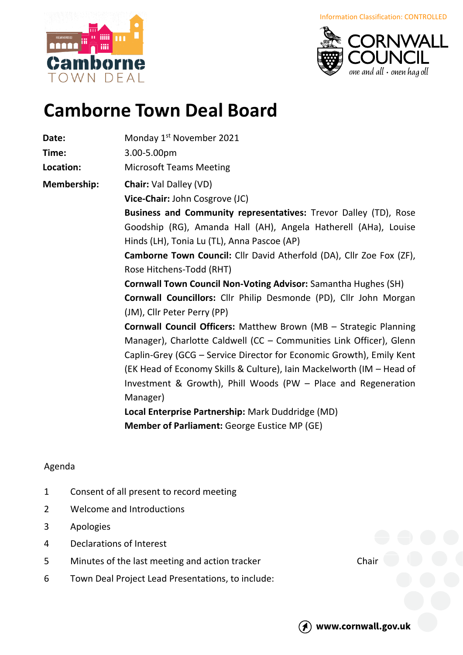norne OWN DFAI





## **Camborne Town Deal Board**

**Date:** Monday 1<sup>st</sup> November 2021

**Time:** 3.00-5.00pm

**Location:** Microsoft Teams Meeting

**Membership: Chair:** Val Dalley (VD)

**Vice-Chair:** John Cosgrove (JC)

**Business and Community representatives:** Trevor Dalley (TD), Rose Goodship (RG), Amanda Hall (AH), Angela Hatherell (AHa), Louise Hinds (LH), Tonia Lu (TL), Anna Pascoe (AP)

**Camborne Town Council:** Cllr David Atherfold (DA), Cllr Zoe Fox (ZF), Rose Hitchens-Todd (RHT)

**Cornwall Town Council Non-Voting Advisor:** Samantha Hughes (SH) **Cornwall Councillors:** Cllr Philip Desmonde (PD), Cllr John Morgan (JM), Cllr Peter Perry (PP)

**Cornwall Council Officers:** Matthew Brown (MB – Strategic Planning Manager), Charlotte Caldwell (CC – Communities Link Officer), Glenn Caplin-Grey (GCG – Service Director for Economic Growth), Emily Kent (EK Head of Economy Skills & Culture), Iain Mackelworth (IM – Head of Investment & Growth), Phill Woods (PW – Place and Regeneration Manager)

**Local Enterprise Partnership:** Mark Duddridge (MD) **Member of Parliament:** George Eustice MP (GE)

## Agenda

- 1 Consent of all present to record meeting
- 2 Welcome and Introductions
- 3 Apologies
- 4 Declarations of Interest
- 5 Minutes of the last meeting and action tracker Chair
- 6 Town Deal Project Lead Presentations, to include: